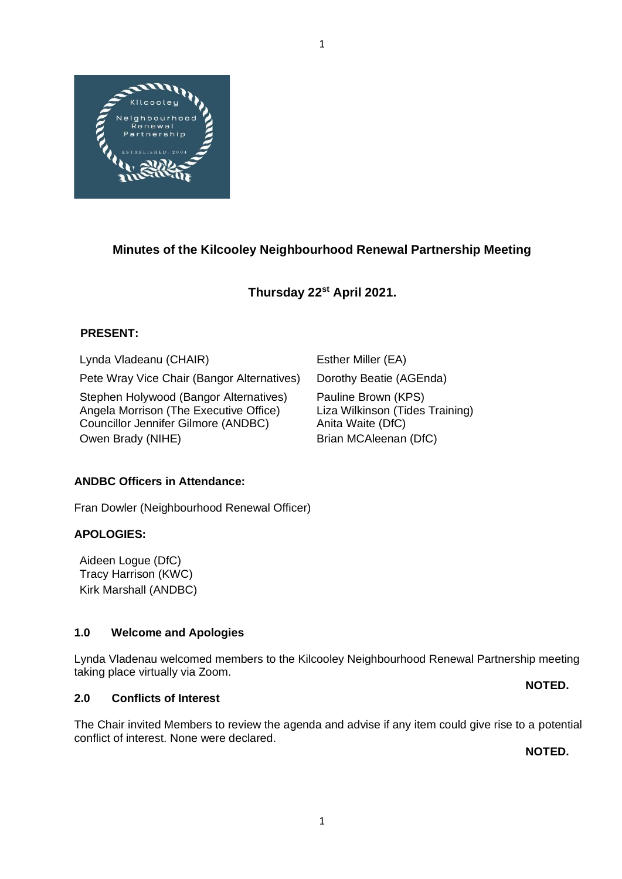

# **Minutes of the Kilcooley Neighbourhood Renewal Partnership Meeting**

# **Thursday 22 st April 2021.**

# **PRESENT:**

Lynda Vladeanu (CHAIR) Esther Miller (EA)

Pete Wray Vice Chair (Bangor Alternatives) Dorothy Beatie (AGEnda)

Stephen Holywood (Bangor Alternatives) Pauline Brown (KPS)<br>Angela Morrison (The Executive Office) Liza Wilkinson (Tides Training) Angela Morrison (The Executive Office) Councillor Jennifer Gilmore (ANDBC) Anita Waite (DfC) Owen Brady (NIHE) Brian MCAleenan (DfC)

## **ANDBC Officers in Attendance:**

Fran Dowler (Neighbourhood Renewal Officer)

## **APOLOGIES:**

Aideen Logue (DfC) Tracy Harrison (KWC) Kirk Marshall (ANDBC)

## **1.0 Welcome and Apologies**

Lynda Vladenau welcomed members to the Kilcooley Neighbourhood Renewal Partnership meeting taking place virtually via Zoom.

## **2.0 Conflicts of Interest**

The Chair invited Members to review the agenda and advise if any item could give rise to a potential conflict of interest. None were declared.

**NOTED.**

**NOTED.**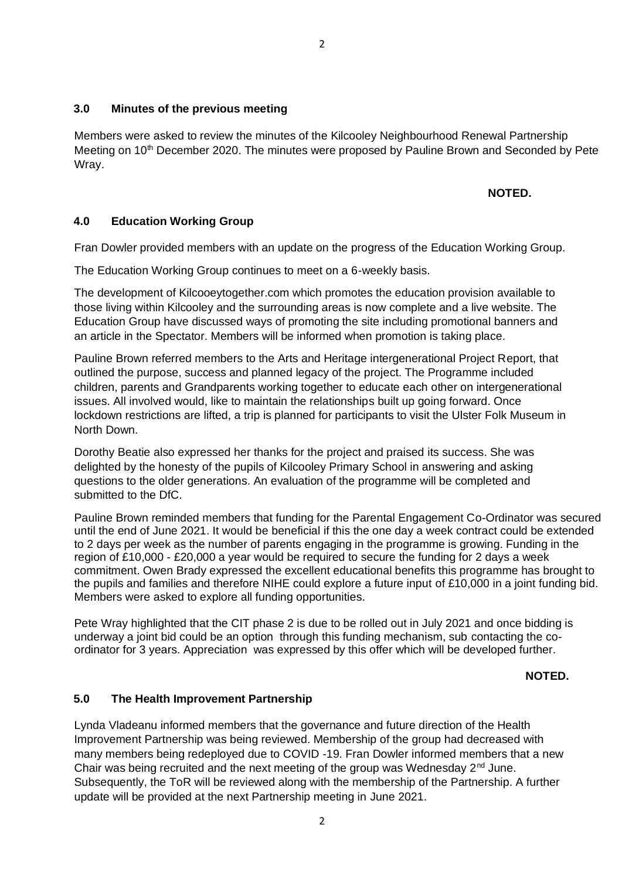## **3.0 Minutes of the previous meeting**

Members were asked to review the minutes of the Kilcooley Neighbourhood Renewal Partnership Meeting on 10<sup>th</sup> December 2020. The minutes were proposed by Pauline Brown and Seconded by Pete Wray.

#### **NOTED.**

# **4.0 Education Working Group**

Fran Dowler provided members with an update on the progress of the Education Working Group.

The Education Working Group continues to meet on a 6-weekly basis.

The development of Kilcooeytogether.com which promotes the education provision available to those living within Kilcooley and the surrounding areas is now complete and a live website. The Education Group have discussed ways of promoting the site including promotional banners and an article in the Spectator. Members will be informed when promotion is taking place.

Pauline Brown referred members to the Arts and Heritage intergenerational Project Report, that outlined the purpose, success and planned legacy of the project. The Programme included children, parents and Grandparents working together to educate each other on intergenerational issues. All involved would, like to maintain the relationships built up going forward. Once lockdown restrictions are lifted, a trip is planned for participants to visit the Ulster Folk Museum in North Down.

Dorothy Beatie also expressed her thanks for the project and praised its success. She was delighted by the honesty of the pupils of Kilcooley Primary School in answering and asking questions to the older generations. An evaluation of the programme will be completed and submitted to the DfC.

Pauline Brown reminded members that funding for the Parental Engagement Co-Ordinator was secured until the end of June 2021. It would be beneficial if this the one day a week contract could be extended to 2 days per week as the number of parents engaging in the programme is growing. Funding in the region of £10,000 - £20,000 a year would be required to secure the funding for 2 days a week commitment. Owen Brady expressed the excellent educational benefits this programme has brought to the pupils and families and therefore NIHE could explore a future input of £10,000 in a joint funding bid. Members were asked to explore all funding opportunities.

Pete Wray highlighted that the CIT phase 2 is due to be rolled out in July 2021 and once bidding is underway a joint bid could be an option through this funding mechanism, sub contacting the coordinator for 3 years. Appreciation was expressed by this offer which will be developed further.

## **NOTED.**

## **5.0 The Health Improvement Partnership**

Lynda Vladeanu informed members that the governance and future direction of the Health Improvement Partnership was being reviewed. Membership of the group had decreased with many members being redeployed due to COVID -19. Fran Dowler informed members that a new Chair was being recruited and the next meeting of the group was Wednesday  $2<sup>nd</sup>$  June. Subsequently, the ToR will be reviewed along with the membership of the Partnership. A further update will be provided at the next Partnership meeting in June 2021.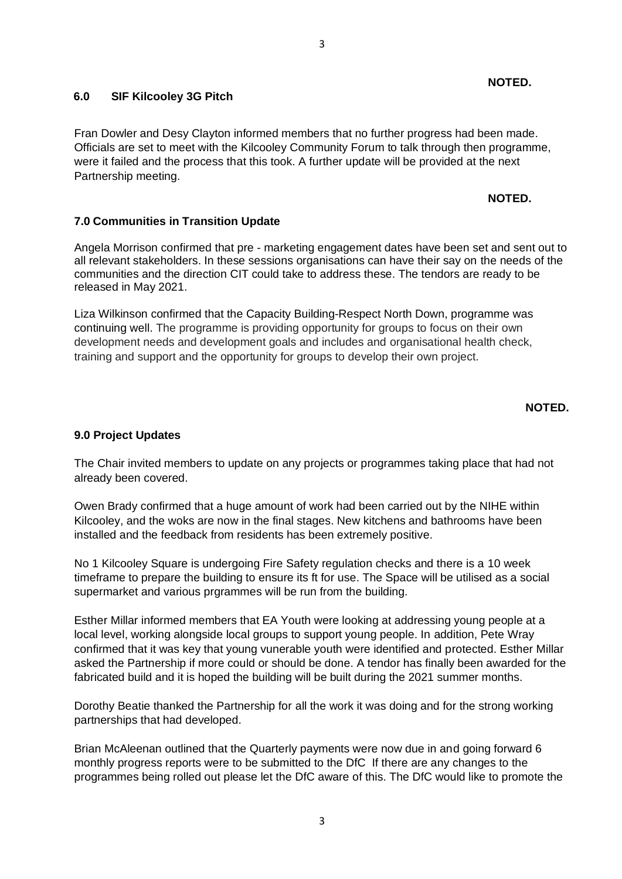# **6.0 SIF Kilcooley 3G Pitch**

Fran Dowler and Desy Clayton informed members that no further progress had been made. Officials are set to meet with the Kilcooley Community Forum to talk through then programme, were it failed and the process that this took. A further update will be provided at the next Partnership meeting.

#### **NOTED.**

**NOTED.**

# **7.0 Communities in Transition Update**

Angela Morrison confirmed that pre - marketing engagement dates have been set and sent out to all relevant stakeholders. In these sessions organisations can have their say on the needs of the communities and the direction CIT could take to address these. The tendors are ready to be released in May 2021.

Liza Wilkinson confirmed that the Capacity Building-Respect North Down, programme was continuing well. The programme is providing opportunity for groups to focus on their own development needs and development goals and includes and organisational health check, training and support and the opportunity for groups to develop their own project.

## **NOTED.**

## **9.0 Project Updates**

The Chair invited members to update on any projects or programmes taking place that had not already been covered.

Owen Brady confirmed that a huge amount of work had been carried out by the NIHE within Kilcooley, and the woks are now in the final stages. New kitchens and bathrooms have been installed and the feedback from residents has been extremely positive.

No 1 Kilcooley Square is undergoing Fire Safety regulation checks and there is a 10 week timeframe to prepare the building to ensure its ft for use. The Space will be utilised as a social supermarket and various prgrammes will be run from the building.

Esther Millar informed members that EA Youth were looking at addressing young people at a local level, working alongside local groups to support young people. In addition, Pete Wray confirmed that it was key that young vunerable youth were identified and protected. Esther Millar asked the Partnership if more could or should be done. A tendor has finally been awarded for the fabricated build and it is hoped the building will be built during the 2021 summer months.

Dorothy Beatie thanked the Partnership for all the work it was doing and for the strong working partnerships that had developed.

Brian McAleenan outlined that the Quarterly payments were now due in and going forward 6 monthly progress reports were to be submitted to the DfC If there are any changes to the programmes being rolled out please let the DfC aware of this. The DfC would like to promote the